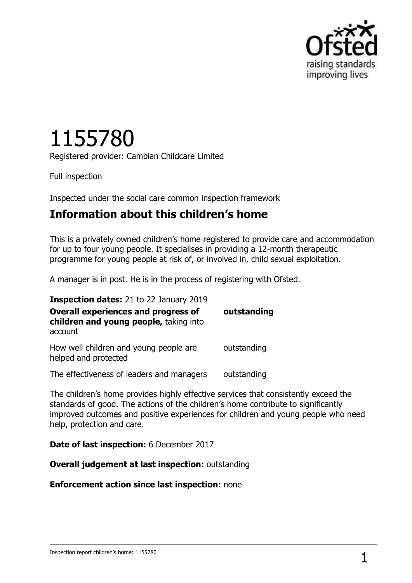

# 1155780

Registered provider: Cambian Childcare Limited

Full inspection

Inspected under the social care common inspection framework

## **Information about this children's home**

This is a privately owned children's home registered to provide care and accommodation for up to four young people. It specialises in providing a 12-month therapeutic programme for young people at risk of, or involved in, child sexual exploitation.

A manager is in post. He is in the process of registering with Ofsted.

| <b>Inspection dates:</b> 21 to 22 January 2019                                                  |             |
|-------------------------------------------------------------------------------------------------|-------------|
| <b>Overall experiences and progress of</b><br>children and young people, taking into<br>account | outstanding |
| How well children and young people are<br>helped and protected                                  | outstanding |
| The effectiveness of leaders and managers                                                       | outstanding |

The children's home provides highly effective services that consistently exceed the standards of good. The actions of the children's home contribute to significantly improved outcomes and positive experiences for children and young people who need help, protection and care.

**Date of last inspection:** 6 December 2017

**Overall judgement at last inspection:** outstanding

**Enforcement action since last inspection:** none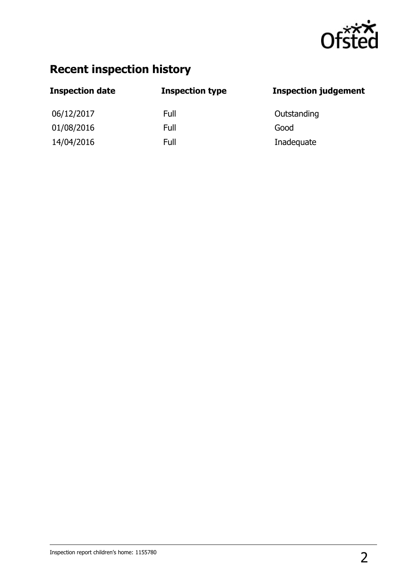

# **Recent inspection history**

| <b>Inspection date</b> | <b>Inspection type</b> | <b>Inspection judgement</b> |
|------------------------|------------------------|-----------------------------|
| 06/12/2017             | Full                   | Outstanding                 |
| 01/08/2016             | Full                   | Good                        |
| 14/04/2016             | Full                   | Inadequate                  |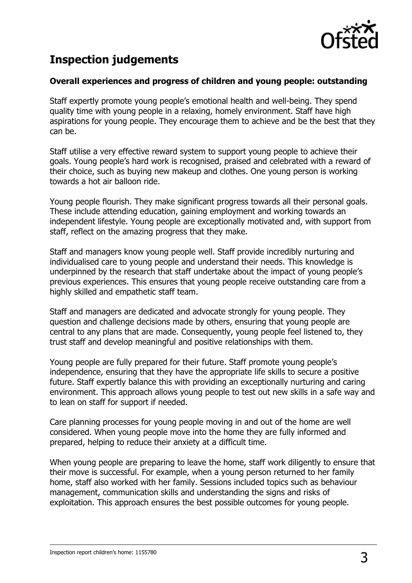

# **Inspection judgements**

#### **Overall experiences and progress of children and young people: outstanding**

Staff expertly promote young people's emotional health and well-being. They spend quality time with young people in a relaxing, homely environment. Staff have high aspirations for young people. They encourage them to achieve and be the best that they can be.

Staff utilise a very effective reward system to support young people to achieve their goals. Young people's hard work is recognised, praised and celebrated with a reward of their choice, such as buying new makeup and clothes. One young person is working towards a hot air balloon ride.

Young people flourish. They make significant progress towards all their personal goals. These include attending education, gaining employment and working towards an independent lifestyle. Young people are exceptionally motivated and, with support from staff, reflect on the amazing progress that they make.

Staff and managers know young people well. Staff provide incredibly nurturing and individualised care to young people and understand their needs. This knowledge is underpinned by the research that staff undertake about the impact of young people's previous experiences. This ensures that young people receive outstanding care from a highly skilled and empathetic staff team.

Staff and managers are dedicated and advocate strongly for young people. They question and challenge decisions made by others, ensuring that young people are central to any plans that are made. Consequently, young people feel listened to, they trust staff and develop meaningful and positive relationships with them.

Young people are fully prepared for their future. Staff promote young people's independence, ensuring that they have the appropriate life skills to secure a positive future. Staff expertly balance this with providing an exceptionally nurturing and caring environment. This approach allows young people to test out new skills in a safe way and to lean on staff for support if needed.

Care planning processes for young people moving in and out of the home are well considered. When young people move into the home they are fully informed and prepared, helping to reduce their anxiety at a difficult time.

When young people are preparing to leave the home, staff work diligently to ensure that their move is successful. For example, when a young person returned to her family home, staff also worked with her family. Sessions included topics such as behaviour management, communication skills and understanding the signs and risks of exploitation. This approach ensures the best possible outcomes for young people.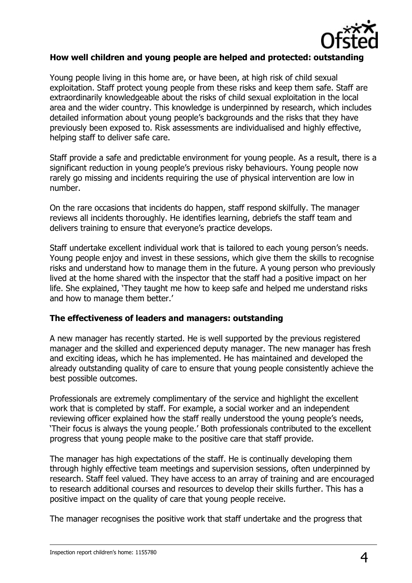

#### **How well children and young people are helped and protected: outstanding**

Young people living in this home are, or have been, at high risk of child sexual exploitation. Staff protect young people from these risks and keep them safe. Staff are extraordinarily knowledgeable about the risks of child sexual exploitation in the local area and the wider country. This knowledge is underpinned by research, which includes detailed information about young people's backgrounds and the risks that they have previously been exposed to. Risk assessments are individualised and highly effective, helping staff to deliver safe care.

Staff provide a safe and predictable environment for young people. As a result, there is a significant reduction in young people's previous risky behaviours. Young people now rarely go missing and incidents requiring the use of physical intervention are low in number.

On the rare occasions that incidents do happen, staff respond skilfully. The manager reviews all incidents thoroughly. He identifies learning, debriefs the staff team and delivers training to ensure that everyone's practice develops.

Staff undertake excellent individual work that is tailored to each young person's needs. Young people enjoy and invest in these sessions, which give them the skills to recognise risks and understand how to manage them in the future. A young person who previously lived at the home shared with the inspector that the staff had a positive impact on her life. She explained, 'They taught me how to keep safe and helped me understand risks and how to manage them better.'

#### **The effectiveness of leaders and managers: outstanding**

A new manager has recently started. He is well supported by the previous registered manager and the skilled and experienced deputy manager. The new manager has fresh and exciting ideas, which he has implemented. He has maintained and developed the already outstanding quality of care to ensure that young people consistently achieve the best possible outcomes.

Professionals are extremely complimentary of the service and highlight the excellent work that is completed by staff. For example, a social worker and an independent reviewing officer explained how the staff really understood the young people's needs, 'Their focus is always the young people.' Both professionals contributed to the excellent progress that young people make to the positive care that staff provide.

The manager has high expectations of the staff. He is continually developing them through highly effective team meetings and supervision sessions, often underpinned by research. Staff feel valued. They have access to an array of training and are encouraged to research additional courses and resources to develop their skills further. This has a positive impact on the quality of care that young people receive.

The manager recognises the positive work that staff undertake and the progress that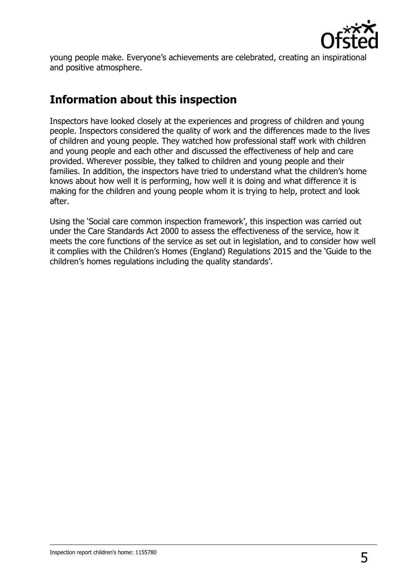

young people make. Everyone's achievements are celebrated, creating an inspirational and positive atmosphere.

# **Information about this inspection**

Inspectors have looked closely at the experiences and progress of children and young people. Inspectors considered the quality of work and the differences made to the lives of children and young people. They watched how professional staff work with children and young people and each other and discussed the effectiveness of help and care provided. Wherever possible, they talked to children and young people and their families. In addition, the inspectors have tried to understand what the children's home knows about how well it is performing, how well it is doing and what difference it is making for the children and young people whom it is trying to help, protect and look after.

Using the 'Social care common inspection framework', this inspection was carried out under the Care Standards Act 2000 to assess the effectiveness of the service, how it meets the core functions of the service as set out in legislation, and to consider how well it complies with the Children's Homes (England) Regulations 2015 and the 'Guide to the children's homes regulations including the quality standards'.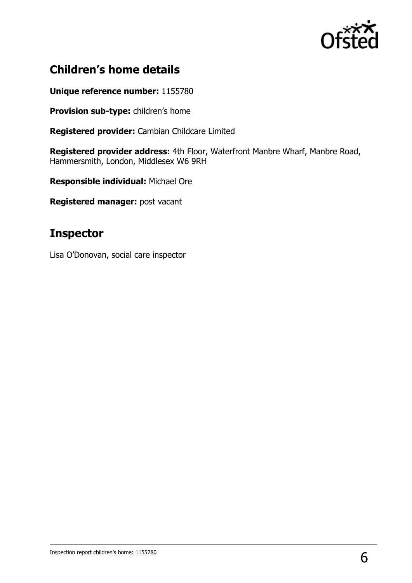

# **Children's home details**

**Unique reference number:** 1155780

**Provision sub-type:** children's home

**Registered provider:** Cambian Childcare Limited

**Registered provider address:** 4th Floor, Waterfront Manbre Wharf, Manbre Road, Hammersmith, London, Middlesex W6 9RH

**Responsible individual:** Michael Ore

**Registered manager:** post vacant

## **Inspector**

Lisa O'Donovan, social care inspector